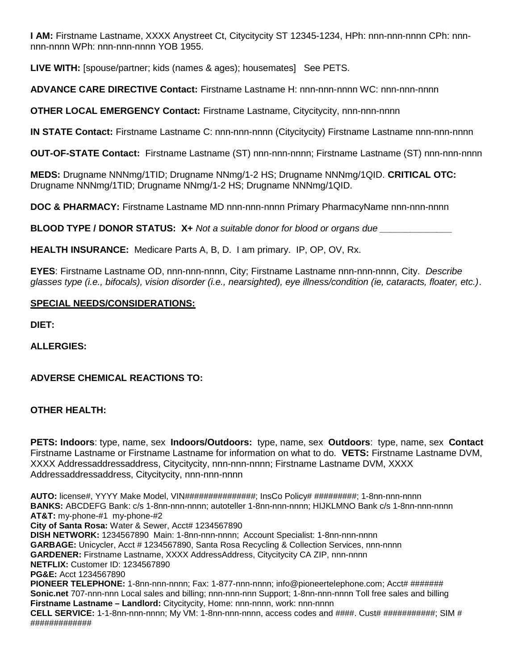**I AM:** Firstname Lastname, XXXX Anystreet Ct, Citycitycity ST 12345-1234, HPh: nnn-nnn-nnnn CPh: nnnnnn-nnnn WPh: nnn-nnn-nnnn YOB 1955.

**LIVE WITH:** [spouse/partner; kids (names & ages); housemates] See PETS.

**ADVANCE CARE DIRECTIVE Contact:** Firstname Lastname H: nnn-nnn-nnnn WC: nnn-nnn-nnnn

**OTHER LOCAL EMERGENCY Contact:** Firstname Lastname, Citycitycity, nnn-nnn-nnnn

**IN STATE Contact:** Firstname Lastname C: nnn-nnn-nnnn (Citycitycity) Firstname Lastname nnn-nnn-nnnn

**OUT-OF-STATE Contact:** Firstname Lastname (ST) nnn-nnn-nnnn; Firstname Lastname (ST) nnn-nnn-nnnn

**MEDS:** Drugname NNNmg/1TID; Drugname NNmg/1-2 HS; Drugname NNNmg/1QID. **CRITICAL OTC:** Drugname NNNmg/1TID; Drugname NNmg/1-2 HS; Drugname NNNmg/1QID.

**DOC & PHARMACY:** Firstname Lastname MD nnn-nnn-nnnn Primary PharmacyName nnn-nnn-nnnn

**BLOOD TYPE / DONOR STATUS: X+** *Not a suitable donor for blood or organs due \_\_\_\_\_\_\_\_\_\_\_\_\_\_*

**HEALTH INSURANCE:** Medicare Parts A, B, D. I am primary. IP, OP, OV, Rx.

**EYES**: Firstname Lastname OD, nnn-nnn-nnnn, City; Firstname Lastname nnn-nnn-nnnn, City. *Describe glasses type (i.e., bifocals), vision disorder (i.e., nearsighted), eye illness/condition (ie, cataracts, floater, etc.)*.

## **SPECIAL NEEDS/CONSIDERATIONS:**

**DIET:**

**ALLERGIES:**

**ADVERSE CHEMICAL REACTIONS TO:**

## **OTHER HEALTH:**

**PETS: Indoors**: type, name, sex **Indoors/Outdoors:** type, name, sex **Outdoors**: type, name, sex **Contact** Firstname Lastname or Firstname Lastname for information on what to do. **VETS:** Firstname Lastname DVM, XXXX Addressaddressaddress, Citycitycity, nnn-nnn-nnnn; Firstname Lastname DVM, XXXX Addressaddressaddress, Citycitycity, nnn-nnn-nnnn

**AUTO:** license#, YYYY Make Model, VIN###############; InsCo Policy# #########; 1-8nn-nnn-nnnn **BANKS:** ABCDEFG Bank: c/s 1-8nn-nnn-nnnn; autoteller 1-8nn-nnn-nnnn; HIJKLMNO Bank c/s 1-8nn-nnn-nnnn **AT&T:** my-phone-#1 my-phone-#2 **City of Santa Rosa:** Water & Sewer, Acct# 1234567890 **DISH NETWORK:** 1234567890 Main: 1-8nn-nnn-nnnn; Account Specialist: 1-8nn-nnn-nnnn **GARBAGE:** Unicycler, Acct # 1234567890, Santa Rosa Recycling & Collection Services, nnn-nnnn **GARDENER:** Firstname Lastname, XXXX AddressAddress, Citycitycity CA ZIP, nnn-nnnn **NETFLIX:** Customer ID: 1234567890 **PG&E:** Acct 1234567890 PIONEER TELEPHONE: 1-8nn-nnn-nnnn; Fax: 1-877-nnn-nnnn; info@pioneertelephone.com; Acct# ####### **Sonic.net** 707-nnn-nnn Local sales and billing; nnn-nnn-nnn Support; 1-8nn-nnn-nnnn Toll free sales and billing **Firstname Lastname – Landlord:** Citycitycity, Home: nnn-nnnn, work: nnn-nnnn **CELL SERVICE:** 1-1-8nn-nnn-nnnn; My VM: 1-8nn-nnn-nnnn, access codes and ####. Cust# ###########; SIM # #############